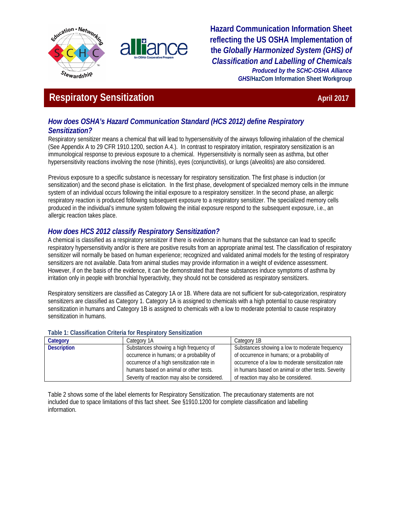



**Hazard Communication Information Sheet reflecting the US OSHA Implementation of the** *Globally Harmonized System (GHS) of Classification and Labelling of Chemicals Produced by the SCHC-OSHA Alliance GHS***/HazCom Information Sheet Workgroup**

# **Respiratory Sensitization April 2017 April 2017**

## *How does OSHA's Hazard Communication Standard (HCS 2012) define Respiratory Sensitization?*

Respiratory sensitizer means a chemical that will lead to hypersensitivity of the airways following inhalation of the chemical (See Appendix A to 29 CFR 1910.1200, section A.4.). In contrast to respiratory irritation, respiratory sensitization is an immunological response to previous exposure to a chemical. Hypersensitivity is normally seen as asthma, but other hypersensitivity reactions involving the nose (rhinitis), eyes (conjunctivitis), or lungs (alveolitis) are also considered.

Previous exposure to a specific substance is necessary for respiratory sensitization. The first phase is induction (or sensitization) and the second phase is elicitation. In the first phase, development of specialized memory cells in the immune system of an individual occurs following the initial exposure to a respiratory sensitizer. In the second phase, an allergic respiratory reaction is produced following subsequent exposure to a respiratory sensitizer. The specialized memory cells produced in the individual's immune system following the initial exposure respond to the subsequent exposure, i.e., an allergic reaction takes place.

## *How does HCS 2012 classify Respiratory Sensitization?*

A chemical is classified as a respiratory sensitizer if there is evidence in humans that the substance can lead to specific respiratory hypersensitivity and/or is there are positive results from an appropriate animal test. The classification of respiratory sensitizer will normally be based on human experience; recognized and validated animal models for the testing of respiratory sensitizers are not available. Data from animal studies may provide information in a weight of evidence assessment. However, if on the basis of the evidence, it can be demonstrated that these substances induce symptoms of asthma by irritation only in people with bronchial hyperactivity, they should not be considered as respiratory sensitizers.

Respiratory sensitizers are classified as Category 1A or 1B. Where data are not sufficient for sub-categorization, respiratory sensitizers are classified as Category 1. Category 1A is assigned to chemicals with a high potential to cause respiratory sensitization in humans and Category 1B is assigned to chemicals with a low to moderate potential to cause respiratory sensitization in humans.

### Category **Category 14** Category 1A Category 1B **Description** Substances showing a high frequency of occurrence in humans; or a probability of occurrence of a high sensitization rate in humans based on animal or other tests. Severity of reaction may also be considered. Substances showing a low to moderate frequency of occurrence in humans; or a probability of occurrence of a low to moderate sensitization rate in humans based on animal or other tests. Severity of reaction may also be considered.

### **Table 1: Classification Criteria for Respiratory Sensitization**

Table 2 shows some of the label elements for Respiratory Sensitization. The precautionary statements are not included due to space limitations of this fact sheet. See §1910.1200 for complete classification and labelling information.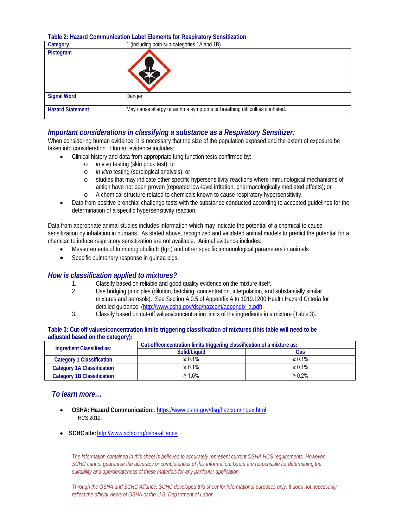**Table 2: Hazard Communication Label Elements for Respiratory Sensitization**

| Category                | 1 (including both sub-categories 1A and 1B)                                |  |
|-------------------------|----------------------------------------------------------------------------|--|
| Pictogram               |                                                                            |  |
| <b>Signal Word</b>      | Danger                                                                     |  |
| <b>Hazard Statement</b> | May cause allergy or asthma symptoms or breathing difficulties if inhaled. |  |

### *Important considerations in classifying a substance as a Respiratory Sensitizer:*

When considering human evidence, it is necessary that the size of the population exposed and the extent of exposure be taken into consideration. Human evidence includes:

- Clinical history and data from appropriate lung function tests confirmed by:
	- o *in* vivo testing (skin prick test); or
	- o *in vitro* testing (serological analysis); or
	- studies that may indicate other specific hypersensitivity reactions where immunological mechanisms of action have not been proven (repeated low-level irritation, pharmacologically mediated effects); or
	- o A chemical structure related to chemicals known to cause respiratory hypersensitivity.
- Data from positive bronchial challenge tests with the substance conducted according to accepted guidelines for the determination of a specific hypersensitivity reaction.

Data from appropriate animal studies includes information which may indicate the potential of a chemical to cause sensitization by inhalation in humans. As stated above, recognized and validated animal models to predict the potential for a chemical to induce respiratory sensitization are not available. Animal evidence includes:

- Measurements of Immunoglobulin E (IgE) and other specific immunological parameters in animals
- Specific pulmonary response in quinea pigs.

### *How is classification applied to mixtures?*

- 1. Classify based on reliable and good quality evidence on the mixture itself.<br>2. Class bridging principles (dilution, batching, concentration, interpolation, and
- Use bridging principles (dilution, batching, concentration, interpolation, and substantially similar mixtures and aerosols). See Section A.0.5 of Appendix A to 1910.1200 Health Hazard Criteria for detailed guidance: [\(http://www.osha.gov/dsg/hazcom/appendix\\_a.pdf\)](http://www.osha.gov/dsg/hazcom/appendix_a.pdf).
- 3. Classify based on cut-off values/concentration limits of the ingredients in a mixture (Table 3).

| Table 3: Cut-off values/concentration limits triggering classification of mixtures (this table will need to be |  |
|----------------------------------------------------------------------------------------------------------------|--|
| adjusted based on the category):                                                                               |  |

| Ingredient Classified as:         | Cut-off/concentration limits triggering classification of a mixture as: |              |  |
|-----------------------------------|-------------------------------------------------------------------------|--------------|--|
|                                   | Solid/Liquid                                                            | Gas          |  |
| Category 1 Classification         | $\geq 0.1\%$                                                            | $\geq 0.1\%$ |  |
| <b>Category 1A Classification</b> | $\geq 0.1\%$                                                            | $\geq 0.1\%$ |  |
| <b>Category 1B Classification</b> | $\geq 1.0\%$                                                            | $\geq 0.2\%$ |  |

### *To learn more…*

- **OSHA: Hazard Communication:**[. https://www.osha.gov/dsg/hazcom/index.html](https://www.osha.gov/dsg/hazcom/index.html) HCS 2012.
- **SCHCsite:**<http://www.schc.org/osha-alliance>

The information contained in this sheet is believed to accurately represent current OSHA HCS requirements. However, *SCHC cannot guarantee the accuracy or completeness of this information. Users are responsible for determining the suitability and appropriateness of these materials for any particular application.*

*Through the OSHA and SCHC Alliance, SCHC developed this sheet for informational purposes only. It does not necessarily reflect the official views of OSHA or the U.S. Department of Labor.*